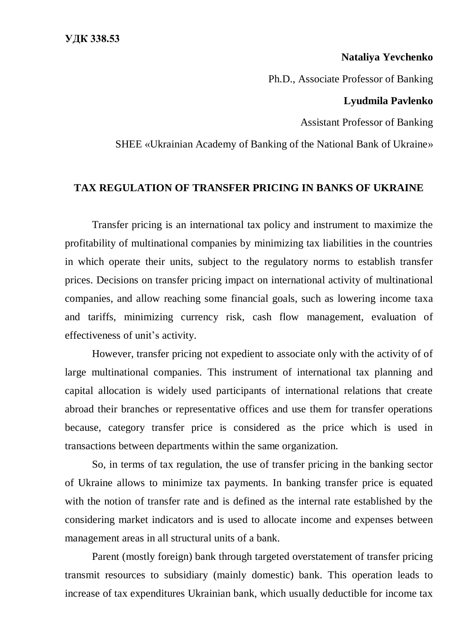## **Nataliya Yevchenko**

Ph.D., Associate Professor of Banking

## **Lyudmila Pavlenko**

Assistant Professor of Banking

SHEE «Ukrainian Academy of Banking of the National Bank of Ukraine»

## **TAX REGULATION OF TRANSFER PRICING IN BANKS OF UKRAINE**

Transfer pricing is an international tax policy and instrument to maximize the profitability of multinational companies by minimizing tax liabilities in the countries in which operate their units, subject to the regulatory norms to establish transfer prices. Decisions on transfer pricing impact on international activity of multinational companies, and allow reaching some financial goals, such as lowering income taxa and tariffs, minimizing currency risk, cash flow management, evaluation of effectiveness of unit's activity.

However, transfer pricing not expedient to associate only with the activity of of large multinational companies. This instrument of international tax planning and capital allocation is widely used participants of international relations that create abroad their branches or representative offices and use them for transfer operations because, category transfer price is considered as the price which is used in transactions between departments within the same organization.

So, in terms of tax regulation, the use of transfer pricing in the banking sector of Ukraine allows to minimize tax payments. In banking transfer price is equated with the notion of transfer rate and is defined as the internal rate established by the considering market indicators and is used to allocate income and expenses between management areas in all structural units of a bank.

Parent (mostly foreign) bank through targeted overstatement of transfer pricing transmit resources to subsidiary (mainly domestic) bank. This operation leads to increase of tax expenditures Ukrainian bank, which usually deductible for income tax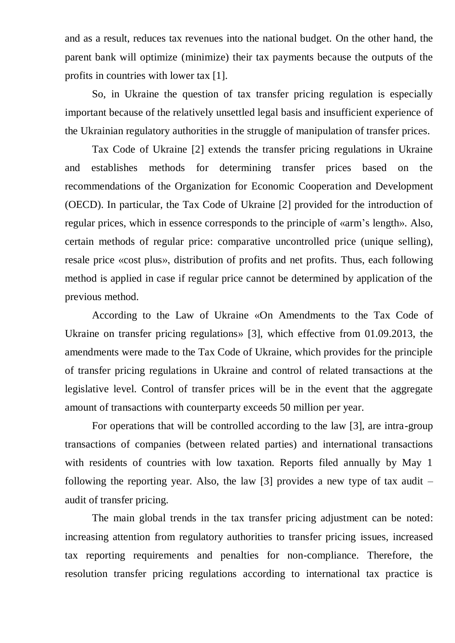and as a result, reduces tax revenues into the national budget. On the other hand, the parent bank will optimize (minimize) their tax payments because the outputs of the profits in countries with lower tax [1].

So, in Ukraine the question of tax transfer pricing regulation is especially important because of the relatively unsettled legal basis and insufficient experience of the Ukrainian regulatory authorities in the struggle of manipulation of transfer prices.

Tax Code of Ukraine [2] extends the transfer pricing regulations in Ukraine and establishes methods for determining transfer prices based on the recommendations of the Organization for Economic Cooperation and Development (OECD). In particular, the Tax Code of Ukraine [2] provided for the introduction of regular prices, which in essence corresponds to the principle of «arm's length». Also, certain methods of regular price: comparative uncontrolled price (unique selling), resale price «cost plus», distribution of profits and net profits. Thus, each following method is applied in case if regular price cannot be determined by application of the previous method.

According to the Law of Ukraine «On Amendments to the Tax Code of Ukraine on transfer pricing regulations» [3], which effective from 01.09.2013, the amendments were made to the Tax Code of Ukraine, which provides for the principle of transfer pricing regulations in Ukraine and control of related transactions at the legislative level. Control of transfer prices will be in the event that the aggregate amount of transactions with counterparty exceeds 50 million per year.

For operations that will be controlled according to the law [3], are intra-group transactions of companies (between related parties) and international transactions with residents of countries with low taxation. Reports filed annually by May 1 following the reporting year. Also, the law [3] provides a new type of tax audit  $$ audit of transfer pricing.

The main global trends in the tax transfer pricing adjustment can be noted: increasing attention from regulatory authorities to transfer pricing issues, increased tax reporting requirements and penalties for non-compliance. Therefore, the resolution transfer pricing regulations according to international tax practice is